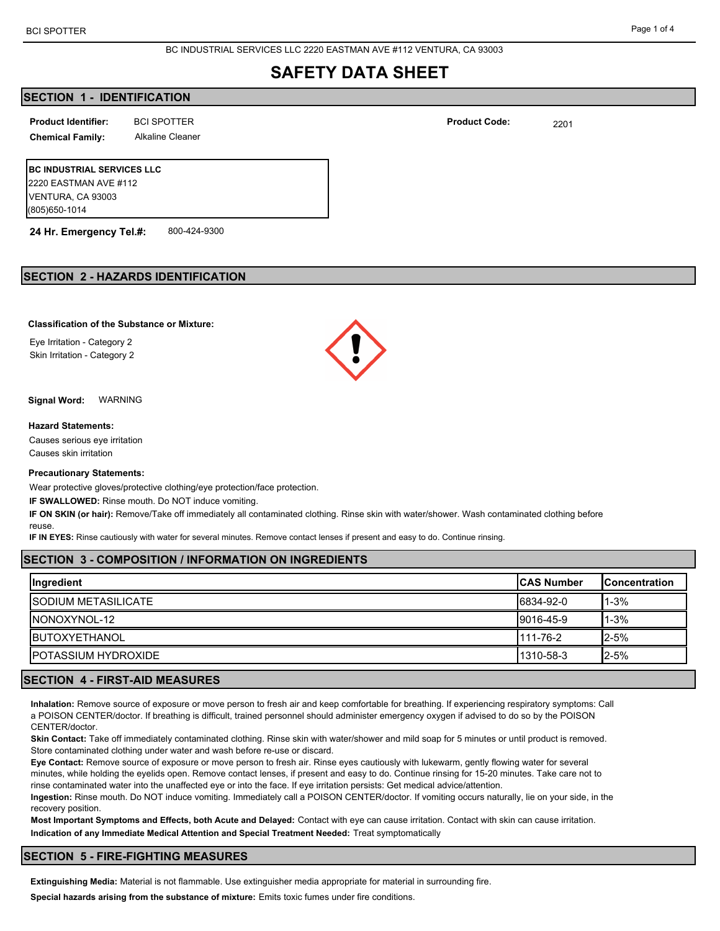BC INDUSTRIAL SERVICES LLC 2220 EASTMAN AVE #112 VENTURA, CA 93003

# **SAFETY DATA SHEET**

# **SECTION 1 - IDENTIFICATION**

BCI SPOTTER 2201 **Product Identifier: Product Code:**

**Chemical Family:** Alkaline Cleaner

**BC INDUSTRIAL SERVICES LLC** 2220 EASTMAN AVE #112 VENTURA, CA 93003 (805)650-1014

**24 Hr. Emergency Tel.#:** 800-424-9300

# **SECTION 2 - HAZARDS IDENTIFICATION**

## **Classification of the Substance or Mixture:**

Eye Irritation - Category 2 Skin Irritation - Category 2

**Signal Word:** WARNING

#### **Hazard Statements:**

Causes serious eye irritation Causes skin irritation

#### **Precautionary Statements:**

Wear protective gloves/protective clothing/eye protection/face protection.

**IF SWALLOWED:** Rinse mouth. Do NOT induce vomiting.

**IF ON SKIN (or hair):** Remove/Take off immediately all contaminated clothing. Rinse skin with water/shower. Wash contaminated clothing before reuse.

**IF IN EYES:** Rinse cautiously with water for several minutes. Remove contact lenses if present and easy to do. Continue rinsing.

# **SECTION 3 - COMPOSITION / INFORMATION ON INGREDIENTS**

| Ingredient                  | <b>ICAS Number</b> | <b>Concentration</b> |
|-----------------------------|--------------------|----------------------|
| <b>ISODIUM METASILICATE</b> | 6834-92-0          | l 1-3%               |
| INONOXYNOL-12               | 9016-45-9          | <b>1</b> -3%         |
| <b>IBUTOXYETHANOL</b>       | 111-76-2           | $12 - 5%$            |
| <b>IPOTASSIUM HYDROXIDE</b> | 1310-58-3          | $12 - 5%$            |

# **SECTION 4 - FIRST-AID MEASURES**

**Inhalation:** Remove source of exposure or move person to fresh air and keep comfortable for breathing. If experiencing respiratory symptoms: Call a POISON CENTER/doctor. If breathing is difficult, trained personnel should administer emergency oxygen if advised to do so by the POISON CENTER/doctor.

**Skin Contact:** Take off immediately contaminated clothing. Rinse skin with water/shower and mild soap for 5 minutes or until product is removed. Store contaminated clothing under water and wash before re-use or discard.

**Eye Contact:** Remove source of exposure or move person to fresh air. Rinse eyes cautiously with lukewarm, gently flowing water for several minutes, while holding the eyelids open. Remove contact lenses, if present and easy to do. Continue rinsing for 15-20 minutes. Take care not to rinse contaminated water into the unaffected eye or into the face. If eye irritation persists: Get medical advice/attention.

**Ingestion:** Rinse mouth. Do NOT induce vomiting. Immediately call a POISON CENTER/doctor. If vomiting occurs naturally, lie on your side, in the recovery position.

**Most Important Symptoms and Effects, both Acute and Delayed:** Contact with eye can cause irritation. Contact with skin can cause irritation. **Indication of any Immediate Medical Attention and Special Treatment Needed:** Treat symptomatically

## **SECTION 5 - FIRE-FIGHTING MEASURES**

**Extinguishing Media:** Material is not flammable. Use extinguisher media appropriate for material in surrounding fire.

**Special hazards arising from the substance of mixture:** Emits toxic fumes under fire conditions.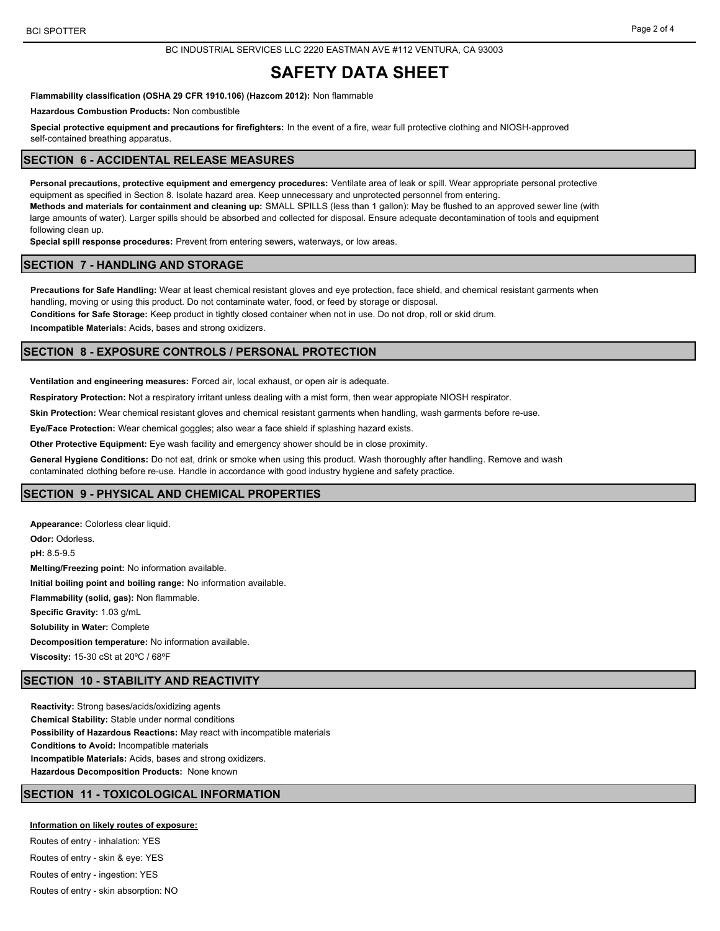BC INDUSTRIAL SERVICES LLC 2220 EASTMAN AVE #112 VENTURA, CA 93003

# **SAFETY DATA SHEET**

**Flammability classification (OSHA 29 CFR 1910.106) (Hazcom 2012):** Non flammable

**Hazardous Combustion Products:** Non combustible

**Special protective equipment and precautions for firefighters:** In the event of a fire, wear full protective clothing and NIOSH-approved self-contained breathing apparatus.

## **SECTION 6 - ACCIDENTAL RELEASE MEASURES**

**Personal precautions, protective equipment and emergency procedures:** Ventilate area of leak or spill. Wear appropriate personal protective equipment as specified in Section 8. Isolate hazard area. Keep unnecessary and unprotected personnel from entering. **Methods and materials for containment and cleaning up:** SMALL SPILLS (less than 1 gallon): May be flushed to an approved sewer line (with large amounts of water). Larger spills should be absorbed and collected for disposal. Ensure adequate decontamination of tools and equipment following clean up.

**Special spill response procedures:** Prevent from entering sewers, waterways, or low areas.

## **SECTION 7 - HANDLING AND STORAGE**

**Precautions for Safe Handling:** Wear at least chemical resistant gloves and eye protection, face shield, and chemical resistant garments when handling, moving or using this product. Do not contaminate water, food, or feed by storage or disposal.

**Conditions for Safe Storage:** Keep product in tightly closed container when not in use. Do not drop, roll or skid drum.

**Incompatible Materials:** Acids, bases and strong oxidizers.

# **SECTION 8 - EXPOSURE CONTROLS / PERSONAL PROTECTION**

**Ventilation and engineering measures:** Forced air, local exhaust, or open air is adequate.

**Respiratory Protection:** Not a respiratory irritant unless dealing with a mist form, then wear appropiate NIOSH respirator.

**Skin Protection:** Wear chemical resistant gloves and chemical resistant garments when handling, wash garments before re-use.

**Eye/Face Protection:** Wear chemical goggles; also wear a face shield if splashing hazard exists.

**Other Protective Equipment:** Eye wash facility and emergency shower should be in close proximity.

**General Hygiene Conditions:** Do not eat, drink or smoke when using this product. Wash thoroughly after handling. Remove and wash

contaminated clothing before re-use. Handle in accordance with good industry hygiene and safety practice.

## **SECTION 9 - PHYSICAL AND CHEMICAL PROPERTIES**

**Appearance:** Colorless clear liquid. **Odor:** Odorless. **pH:** 8.5-9.5 **Melting/Freezing point:** No information available. **Initial boiling point and boiling range:** No information available. **Flammability (solid, gas):** Non flammable. **Specific Gravity:** 1.03 g/mL **Solubility in Water:** Complete **Decomposition temperature:** No information available. **Viscosity:** 15-30 cSt at 20ºC / 68ºF

### **SECTION 10 - STABILITY AND REACTIVITY**

**Reactivity:** Strong bases/acids/oxidizing agents **Chemical Stability:** Stable under normal conditions **Possibility of Hazardous Reactions:** May react with incompatible materials **Conditions to Avoid:** Incompatible materials **Incompatible Materials:** Acids, bases and strong oxidizers. **Hazardous Decomposition Products:** None known

# **SECTION 11 - TOXICOLOGICAL INFORMATION**

**Information on likely routes of exposure:**

Routes of entry - inhalation: YES Routes of entry - skin & eye: YES Routes of entry - ingestion: YES Routes of entry - skin absorption: NO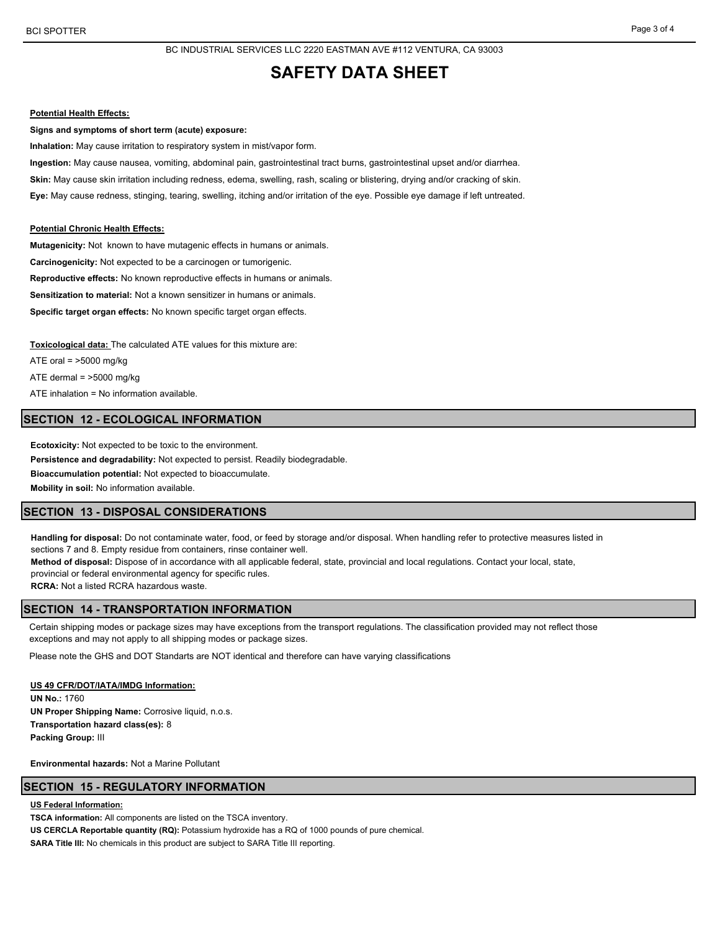# **SAFETY DATA SHEET**

#### **Potential Health Effects:**

**Signs and symptoms of short term (acute) exposure:**

**Inhalation:** May cause irritation to respiratory system in mist/vapor form.

**Ingestion:** May cause nausea, vomiting, abdominal pain, gastrointestinal tract burns, gastrointestinal upset and/or diarrhea. **Skin:** May cause skin irritation including redness, edema, swelling, rash, scaling or blistering, drying and/or cracking of skin. **Eye:** May cause redness, stinging, tearing, swelling, itching and/or irritation of the eye. Possible eye damage if left untreated.

#### **Potential Chronic Health Effects:**

**Mutagenicity:** Not known to have mutagenic effects in humans or animals. **Carcinogenicity:** Not expected to be a carcinogen or tumorigenic. **Reproductive effects:** No known reproductive effects in humans or animals. **Sensitization to material:** Not a known sensitizer in humans or animals. **Specific target organ effects:** No known specific target organ effects.

**Toxicological data:** The calculated ATE values for this mixture are:

ATE oral  $=$  >5000 mg/kg

ATE dermal  $=$  >5000 mg/kg

ATE inhalation = No information available.

# **SECTION 12 - ECOLOGICAL INFORMATION**

**Ecotoxicity:** Not expected to be toxic to the environment.

**Persistence and degradability:** Not expected to persist. Readily biodegradable.

**Bioaccumulation potential:** Not expected to bioaccumulate.

**Mobility in soil:** No information available.

### **SECTION 13 - DISPOSAL CONSIDERATIONS**

**Handling for disposal:** Do not contaminate water, food, or feed by storage and/or disposal. When handling refer to protective measures listed in sections 7 and 8. Empty residue from containers, rinse container well. **Method of disposal:** Dispose of in accordance with all applicable federal, state, provincial and local regulations. Contact your local, state,

provincial or federal environmental agency for specific rules.

**RCRA:** Not a listed RCRA hazardous waste.

# **SECTION 14 - TRANSPORTATION INFORMATION**

Certain shipping modes or package sizes may have exceptions from the transport regulations. The classification provided may not reflect those exceptions and may not apply to all shipping modes or package sizes.

Please note the GHS and DOT Standarts are NOT identical and therefore can have varying classifications

### **US 49 CFR/DOT/IATA/IMDG Information:**

**UN No.:** 1760 **UN Proper Shipping Name:** Corrosive liquid, n.o.s. **Transportation hazard class(es):** 8 **Packing Group:** III

**Environmental hazards:** Not a Marine Pollutant

# **SECTION 15 - REGULATORY INFORMATION**

**US Federal Information:**

**TSCA information:** All components are listed on the TSCA inventory.

**US CERCLA Reportable quantity (RQ):** Potassium hydroxide has a RQ of 1000 pounds of pure chemical.

**SARA Title III:** No chemicals in this product are subject to SARA Title III reporting.